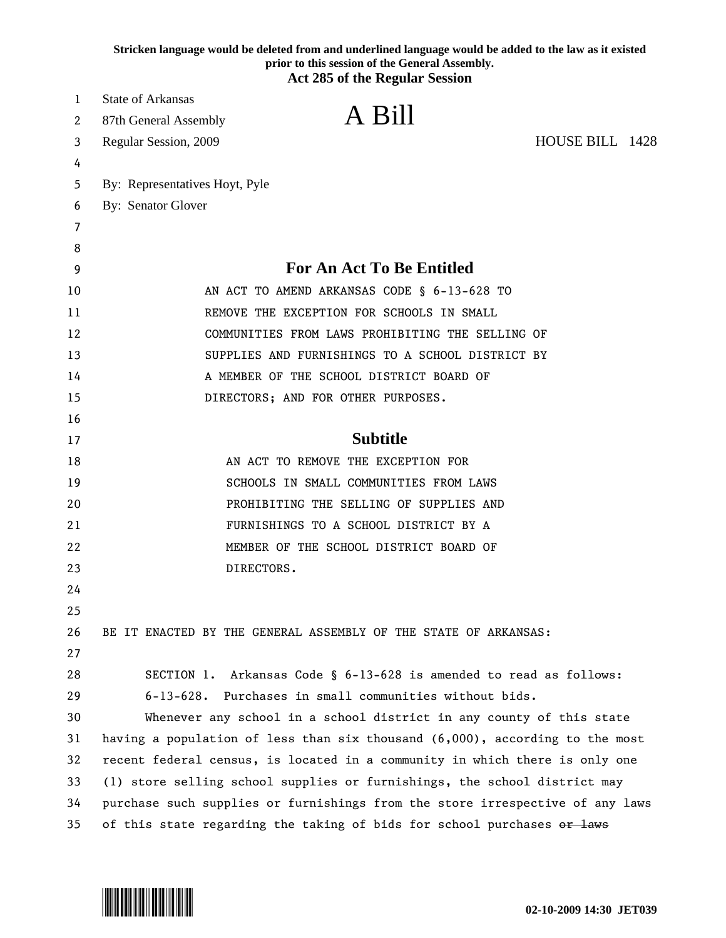|    | Stricken language would be deleted from and underlined language would be added to the law as it existed<br>prior to this session of the General Assembly.<br><b>Act 285 of the Regular Session</b> |
|----|----------------------------------------------------------------------------------------------------------------------------------------------------------------------------------------------------|
| 1  | <b>State of Arkansas</b>                                                                                                                                                                           |
| 2  | A Bill<br>87th General Assembly                                                                                                                                                                    |
| 3  | HOUSE BILL 1428<br>Regular Session, 2009                                                                                                                                                           |
| 4  |                                                                                                                                                                                                    |
| 5  | By: Representatives Hoyt, Pyle                                                                                                                                                                     |
| 6  | By: Senator Glover                                                                                                                                                                                 |
| 7  |                                                                                                                                                                                                    |
| 8  |                                                                                                                                                                                                    |
| 9  | <b>For An Act To Be Entitled</b>                                                                                                                                                                   |
| 10 | AN ACT TO AMEND ARKANSAS CODE § 6-13-628 TO                                                                                                                                                        |
| 11 | REMOVE THE EXCEPTION FOR SCHOOLS IN SMALL                                                                                                                                                          |
| 12 | COMMUNITIES FROM LAWS PROHIBITING THE SELLING OF                                                                                                                                                   |
| 13 | SUPPLIES AND FURNISHINGS TO A SCHOOL DISTRICT BY                                                                                                                                                   |
| 14 | A MEMBER OF THE SCHOOL DISTRICT BOARD OF                                                                                                                                                           |
| 15 | DIRECTORS; AND FOR OTHER PURPOSES.                                                                                                                                                                 |
| 16 |                                                                                                                                                                                                    |
| 17 | <b>Subtitle</b>                                                                                                                                                                                    |
| 18 | AN ACT TO REMOVE THE EXCEPTION FOR                                                                                                                                                                 |
| 19 | SCHOOLS IN SMALL COMMUNITIES FROM LAWS                                                                                                                                                             |
| 20 | PROHIBITING THE SELLING OF SUPPLIES AND                                                                                                                                                            |
| 21 | FURNISHINGS TO A SCHOOL DISTRICT BY A                                                                                                                                                              |
| 22 | MEMBER OF THE SCHOOL DISTRICT BOARD OF                                                                                                                                                             |
| 23 | DIRECTORS.                                                                                                                                                                                         |
| 24 |                                                                                                                                                                                                    |
| 25 |                                                                                                                                                                                                    |
| 26 | BE IT ENACTED BY THE GENERAL ASSEMBLY OF THE STATE OF ARKANSAS:                                                                                                                                    |
| 27 |                                                                                                                                                                                                    |
| 28 | SECTION 1. Arkansas Code § 6-13-628 is amended to read as follows:                                                                                                                                 |
| 29 | 6-13-628. Purchases in small communities without bids.                                                                                                                                             |
| 30 | Whenever any school in a school district in any county of this state                                                                                                                               |
| 31 | having a population of less than six thousand $(6,000)$ , according to the most                                                                                                                    |
| 32 | recent federal census, is located in a community in which there is only one                                                                                                                        |
| 33 | (1) store selling school supplies or furnishings, the school district may                                                                                                                          |
| 34 | purchase such supplies or furnishings from the store irrespective of any laws                                                                                                                      |
| 35 | of this state regarding the taking of bids for school purchases or laws                                                                                                                            |